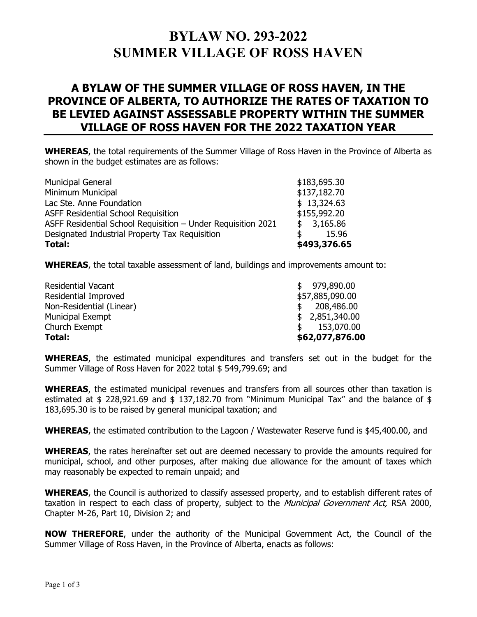## **BYLAW NO. 293-2022 SUMMER VILLAGE OF ROSS HAVEN**

## **A BYLAW OF THE SUMMER VILLAGE OF ROSS HAVEN, IN THE PROVINCE OF ALBERTA, TO AUTHORIZE THE RATES OF TAXATION TO BE LEVIED AGAINST ASSESSABLE PROPERTY WITHIN THE SUMMER VILLAGE OF ROSS HAVEN FOR THE 2022 TAXATION YEAR**

**WHEREAS**, the total requirements of the Summer Village of Ross Haven in the Province of Alberta as shown in the budget estimates are as follows:

| Total:                                                       | \$493,376.65 |
|--------------------------------------------------------------|--------------|
| Designated Industrial Property Tax Requisition               | 15.96        |
| ASFF Residential School Requisition - Under Requisition 2021 | \$3,165.86   |
| <b>ASFF Residential School Requisition</b>                   | \$155,992.20 |
| Lac Ste. Anne Foundation                                     | \$13,324.63  |
| Minimum Municipal                                            | \$137,182.70 |
| <b>Municipal General</b>                                     | \$183,695.30 |

**WHEREAS**, the total taxable assessment of land, buildings and improvements amount to:

| \$62,077,876.00            |
|----------------------------|
| 153,070.00<br>$\mathbb{S}$ |
| \$2,851,340.00             |
| 208,486.00<br>\$.          |
| \$57,885,090.00            |
| \$979,890.00               |
|                            |

**WHEREAS**, the estimated municipal expenditures and transfers set out in the budget for the Summer Village of Ross Haven for 2022 total \$ 549,799.69; and

**WHEREAS**, the estimated municipal revenues and transfers from all sources other than taxation is estimated at \$ 228,921.69 and \$ 137,182.70 from "Minimum Municipal Tax" and the balance of \$ 183,695.30 is to be raised by general municipal taxation; and

**WHEREAS**, the estimated contribution to the Lagoon / Wastewater Reserve fund is \$45,400.00, and

**WHEREAS**, the rates hereinafter set out are deemed necessary to provide the amounts required for municipal, school, and other purposes, after making due allowance for the amount of taxes which may reasonably be expected to remain unpaid; and

**WHEREAS**, the Council is authorized to classify assessed property, and to establish different rates of taxation in respect to each class of property, subject to the Municipal Government Act, RSA 2000, Chapter M-26, Part 10, Division 2; and

**NOW THEREFORE**, under the authority of the Municipal Government Act, the Council of the Summer Village of Ross Haven, in the Province of Alberta, enacts as follows: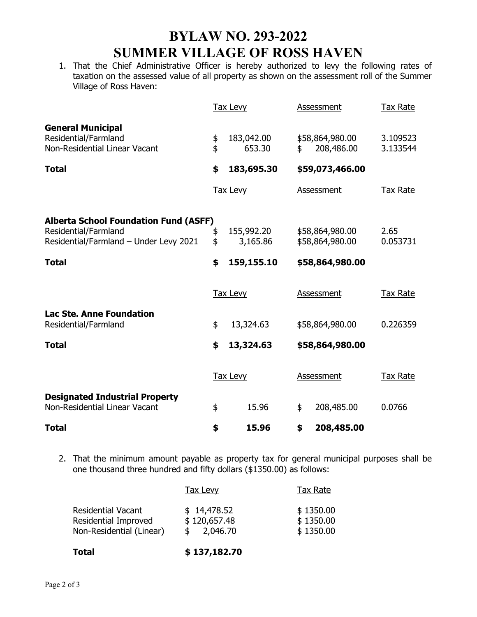## **BYLAW NO. 293-2022 SUMMER VILLAGE OF ROSS HAVEN**

1. That the Chief Administrative Officer is hereby authorized to levy the following rates of taxation on the assessed value of all property as shown on the assessment roll of the Summer Village of Ross Haven:

|                                                                                                                |          | <b>Tax Levy</b>        | Assessment                          | Tax Rate             |  |
|----------------------------------------------------------------------------------------------------------------|----------|------------------------|-------------------------------------|----------------------|--|
| <b>General Municipal</b><br>Residential/Farmland<br>Non-Residential Linear Vacant                              | \$<br>\$ | 183,042.00<br>653.30   | \$<br>\$58,864,980.00<br>208,486.00 | 3.109523<br>3.133544 |  |
| <b>Total</b>                                                                                                   | \$       | 183,695.30             | \$59,073,466.00                     |                      |  |
|                                                                                                                |          | <b>Tax Levy</b>        | Assessment                          | Tax Rate             |  |
| <b>Alberta School Foundation Fund (ASFF)</b><br>Residential/Farmland<br>Residential/Farmland - Under Levy 2021 | \$<br>\$ | 155,992.20<br>3,165.86 | \$58,864,980.00<br>\$58,864,980.00  | 2.65<br>0.053731     |  |
| <b>Total</b>                                                                                                   | \$       | 159,155.10             | \$58,864,980.00                     |                      |  |
|                                                                                                                |          | <b>Tax Levy</b>        | Assessment                          | Tax Rate             |  |
| <b>Lac Ste. Anne Foundation</b><br>Residential/Farmland                                                        | \$       | 13,324.63              | \$58,864,980.00                     | 0.226359             |  |
| Total                                                                                                          | \$       | 13,324.63              | \$58,864,980.00                     |                      |  |
|                                                                                                                |          | <b>Tax Levy</b>        | <b>Assessment</b>                   | <b>Tax Rate</b>      |  |
| <b>Designated Industrial Property</b><br>Non-Residential Linear Vacant                                         | \$       | 15.96                  | \$<br>208,485.00                    | 0.0766               |  |
| Total                                                                                                          | \$       | 15.96                  | \$<br>208,485.00                    |                      |  |

2. That the minimum amount payable as property tax for general municipal purposes shall be one thousand three hundred and fifty dollars (\$1350.00) as follows:

| <b>Total</b>                                                                  | \$137,182.70                            |                                     |
|-------------------------------------------------------------------------------|-----------------------------------------|-------------------------------------|
| <b>Residential Vacant</b><br>Residential Improved<br>Non-Residential (Linear) | \$14,478.52<br>\$120,657.48<br>2,046.70 | \$1350.00<br>\$1350.00<br>\$1350.00 |
|                                                                               | Tax Levy                                | <b>Tax Rate</b>                     |